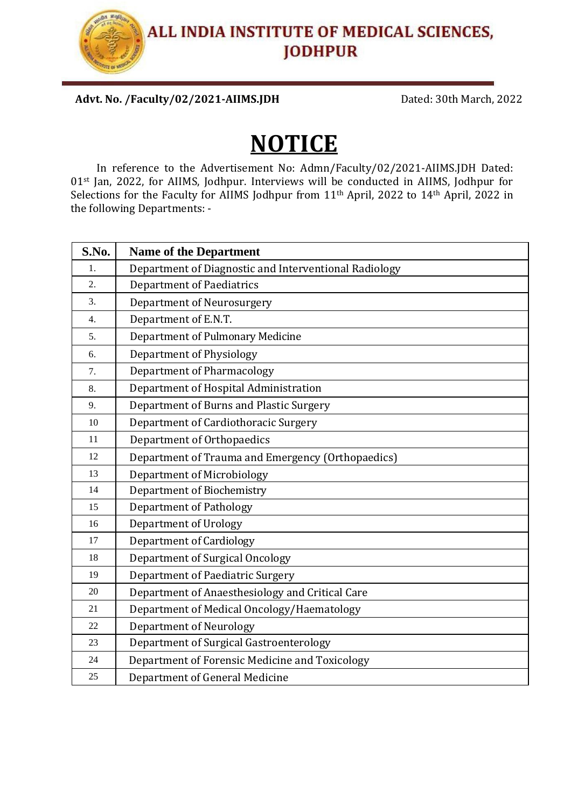Advt. No. /Faculty/02/2021-AIIMS.JDH Dated: 30th March, 2022

# **NOTICE**

In reference to the Advertisement No: Admn/Faculty/02/2021-AIIMS.JDH Dated: 01st Jan, 2022, for AIIMS, Jodhpur. Interviews will be conducted in AIIMS, Jodhpur for Selections for the Faculty for AIIMS Jodhpur from 11<sup>th</sup> April, 2022 to 14<sup>th</sup> April, 2022 in the following Departments: -

| S.No. | <b>Name of the Department</b>                         |  |  |
|-------|-------------------------------------------------------|--|--|
| 1.    | Department of Diagnostic and Interventional Radiology |  |  |
| 2.    | <b>Department of Paediatrics</b>                      |  |  |
| 3.    | <b>Department of Neurosurgery</b>                     |  |  |
| 4.    | Department of E.N.T.                                  |  |  |
| 5.    | Department of Pulmonary Medicine                      |  |  |
| 6.    | <b>Department of Physiology</b>                       |  |  |
| 7.    | <b>Department of Pharmacology</b>                     |  |  |
| 8.    | Department of Hospital Administration                 |  |  |
| 9.    | Department of Burns and Plastic Surgery               |  |  |
| 10    | Department of Cardiothoracic Surgery                  |  |  |
| 11    | Department of Orthopaedics                            |  |  |
| 12    | Department of Trauma and Emergency (Orthopaedics)     |  |  |
| 13    | Department of Microbiology                            |  |  |
| 14    | Department of Biochemistry                            |  |  |
| 15    | <b>Department of Pathology</b>                        |  |  |
| 16    | Department of Urology                                 |  |  |
| 17    | <b>Department of Cardiology</b>                       |  |  |
| 18    | <b>Department of Surgical Oncology</b>                |  |  |
| 19    | Department of Paediatric Surgery                      |  |  |
| 20    | Department of Anaesthesiology and Critical Care       |  |  |
| 21    | Department of Medical Oncology/Haematology            |  |  |
| 22    | <b>Department of Neurology</b>                        |  |  |
| 23    | Department of Surgical Gastroenterology               |  |  |
| 24    | Department of Forensic Medicine and Toxicology        |  |  |
| 25    | Department of General Medicine                        |  |  |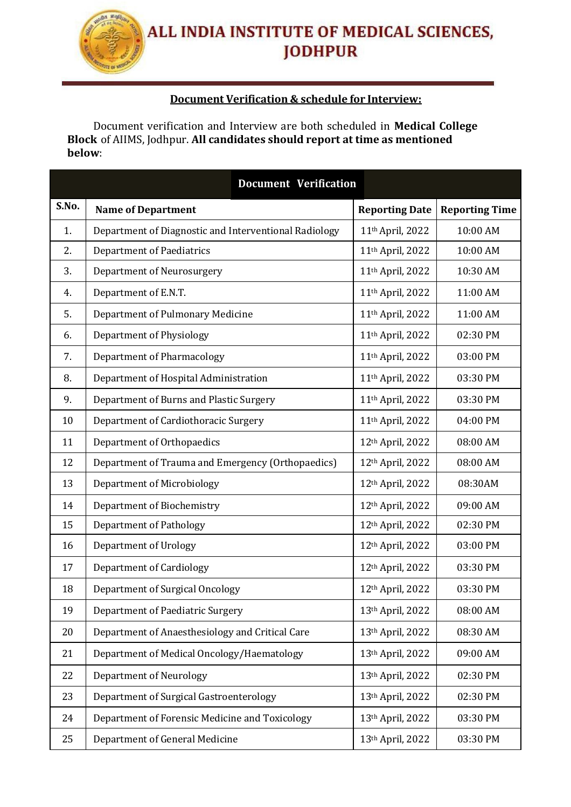#### **Document Verification & schedule for Interview:**

Document verification and Interview are both scheduled in **Medical College Block** of AIIMS, Jodhpur. **All candidates should report at time as mentioned below**:

| <b>Document Verification</b> |                                                       |  |                              |                       |  |
|------------------------------|-------------------------------------------------------|--|------------------------------|-----------------------|--|
| S.No.                        | <b>Name of Department</b>                             |  | <b>Reporting Date</b>        | <b>Reporting Time</b> |  |
| 1.                           | Department of Diagnostic and Interventional Radiology |  | 11 <sup>th</sup> April, 2022 | 10:00 AM              |  |
| 2.                           | <b>Department of Paediatrics</b>                      |  | 11th April, 2022             | 10:00 AM              |  |
| 3.                           | Department of Neurosurgery                            |  | 11th April, 2022             | 10:30 AM              |  |
| 4.                           | Department of E.N.T.                                  |  | 11 <sup>th</sup> April, 2022 | 11:00 AM              |  |
| 5.                           | Department of Pulmonary Medicine                      |  | 11th April, 2022             | 11:00 AM              |  |
| 6.                           | Department of Physiology                              |  | 11th April, 2022             | 02:30 PM              |  |
| 7.                           | <b>Department of Pharmacology</b>                     |  | 11th April, 2022             | 03:00 PM              |  |
| 8.                           | Department of Hospital Administration                 |  | 11th April, 2022             | 03:30 PM              |  |
| 9.                           | Department of Burns and Plastic Surgery               |  | 11th April, 2022             | 03:30 PM              |  |
| 10                           | Department of Cardiothoracic Surgery                  |  | 11th April, 2022             | 04:00 PM              |  |
| 11                           | Department of Orthopaedics                            |  | 12th April, 2022             | 08:00 AM              |  |
| 12                           | Department of Trauma and Emergency (Orthopaedics)     |  | 12th April, 2022             | 08:00 AM              |  |
| 13                           | Department of Microbiology                            |  | 12th April, 2022             | 08:30AM               |  |
| 14                           | Department of Biochemistry                            |  | 12th April, 2022             | 09:00 AM              |  |
| 15                           | <b>Department of Pathology</b>                        |  | 12th April, 2022             | 02:30 PM              |  |
| 16                           | Department of Urology                                 |  | 12th April, 2022             | 03:00 PM              |  |
| 17                           | <b>Department of Cardiology</b>                       |  | 12th April, 2022             | 03:30 PM              |  |
| 18                           | Department of Surgical Oncology                       |  | 12th April, 2022             | 03:30 PM              |  |
| 19                           | Department of Paediatric Surgery                      |  | 13th April, 2022             | 08:00 AM              |  |
| 20                           | Department of Anaesthesiology and Critical Care       |  | 13th April, 2022             | 08:30 AM              |  |
| 21                           | Department of Medical Oncology/Haematology            |  | 13th April, 2022             | 09:00 AM              |  |
| 22                           | <b>Department of Neurology</b>                        |  | 13th April, 2022             | 02:30 PM              |  |
| 23                           | Department of Surgical Gastroenterology               |  | 13th April, 2022             | 02:30 PM              |  |
| 24                           | Department of Forensic Medicine and Toxicology        |  | 13th April, 2022             | 03:30 PM              |  |
| 25                           | Department of General Medicine                        |  | 13th April, 2022             | 03:30 PM              |  |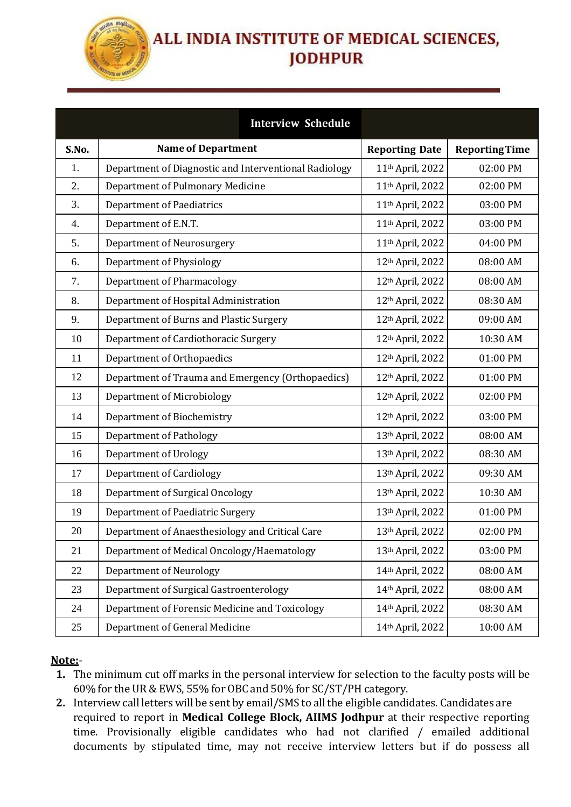

|       |                                                       | <b>Interview Schedule</b> |                              |                       |
|-------|-------------------------------------------------------|---------------------------|------------------------------|-----------------------|
| S.No. | <b>Name of Department</b>                             |                           | <b>Reporting Date</b>        | <b>Reporting Time</b> |
| 1.    | Department of Diagnostic and Interventional Radiology |                           | 11th April, 2022             | 02:00 PM              |
| 2.    | Department of Pulmonary Medicine                      |                           | 11 <sup>th</sup> April, 2022 | 02:00 PM              |
| 3.    | <b>Department of Paediatrics</b>                      |                           | 11th April, 2022             | 03:00 PM              |
| 4.    | Department of E.N.T.                                  |                           | 11th April, 2022             | 03:00 PM              |
| 5.    | <b>Department of Neurosurgery</b>                     |                           | 11 <sup>th</sup> April, 2022 | 04:00 PM              |
| 6.    | Department of Physiology                              |                           | 12th April, 2022             | 08:00 AM              |
| 7.    | <b>Department of Pharmacology</b>                     |                           | 12th April, 2022             | 08:00 AM              |
| 8.    | Department of Hospital Administration                 |                           | 12th April, 2022             | 08:30 AM              |
| 9.    | Department of Burns and Plastic Surgery               |                           | 12th April, 2022             | 09:00 AM              |
| 10    | Department of Cardiothoracic Surgery                  |                           | 12th April, 2022             | 10:30 AM              |
| 11    | Department of Orthopaedics                            |                           | 12th April, 2022             | 01:00 PM              |
| 12    | Department of Trauma and Emergency (Orthopaedics)     |                           | 12th April, 2022             | 01:00 PM              |
| 13    | Department of Microbiology                            |                           | 12th April, 2022             | 02:00 PM              |
| 14    | Department of Biochemistry                            |                           | 12th April, 2022             | 03:00 PM              |
| 15    | <b>Department of Pathology</b>                        |                           | 13th April, 2022             | 08:00 AM              |
| 16    | Department of Urology                                 |                           | 13th April, 2022             | 08:30 AM              |
| 17    | <b>Department of Cardiology</b>                       |                           | 13th April, 2022             | 09:30 AM              |
| 18    | Department of Surgical Oncology                       |                           | 13th April, 2022             | 10:30 AM              |
| 19    | Department of Paediatric Surgery                      |                           | 13th April, 2022             | 01:00 PM              |
| 20    | Department of Anaesthesiology and Critical Care       |                           | 13th April, 2022             | 02:00 PM              |
| 21    | Department of Medical Oncology/Haematology            |                           | 13th April, 2022             | 03:00 PM              |
| 22    | <b>Department of Neurology</b>                        |                           | 14th April, 2022             | 08:00 AM              |
| 23    | Department of Surgical Gastroenterology               |                           | 14th April, 2022             | 08:00 AM              |
| 24    | Department of Forensic Medicine and Toxicology        |                           | 14th April, 2022             | 08:30 AM              |
| 25    | Department of General Medicine                        |                           | 14th April, 2022             | 10:00 AM              |

#### **Note:**-

- **1.** The minimum cut off marks in the personal interview for selection to the faculty posts will be 60% for the UR & EWS, 55% for OBC and 50% for SC/ST/PH category.
- **2.** Interview call letters will be sent by email/SMSto all the eligible candidates. Candidates are required to report in **Medical College Block, AIIMS Jodhpur** at their respective reporting time. Provisionally eligible candidates who had not clarified / emailed additional documents by stipulated time, may not receive interview letters but if do possess all